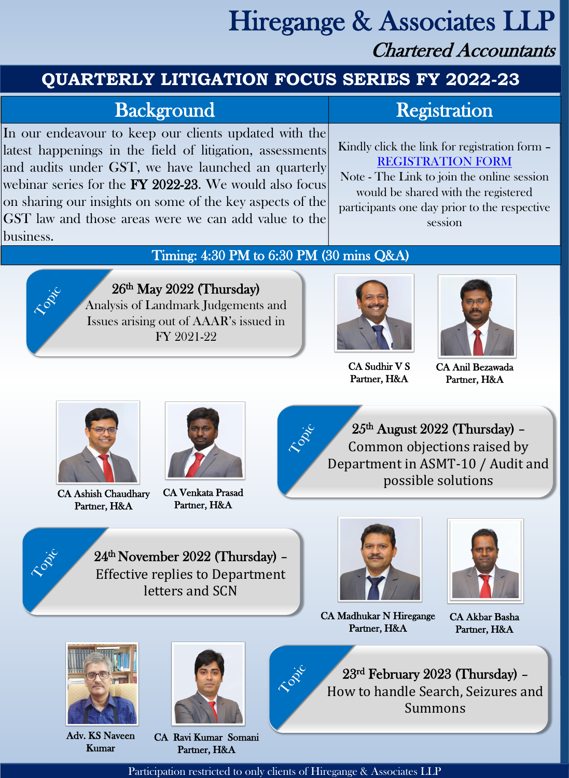# Hiregange & Associates LLP Chartered Accountants

CA Ashish Chaudhary Partner, H&A

CA Venkata Prasad Partner, H&A



CA Sudhir V S Partner, H&A

CA Ravi Kumar Somani Partner, H&A

Participation restricted to only clients of Hiregange & Associates LLP



TONE

In our endeavour to keep our clients updated with the latest happenings in the field of litigation, assessments and audits under GST, we have launched an quarterly webinar series for the FY 2022-23. We would also focus on sharing our insights on some of the key aspects of the GST law and those areas were we can add value to the business.

### Kindly click the link for registration form – [REGISTRATION FORM](https://forms.office.com/Pages/ResponsePage.aspx?id=_9wfCS7u7EioU9BopjD3aV_XLlkNFyBDhA1gPIqSxzpUNTJINkVJVzMyU1VDS1VKTjgwMUw0S05GRS4u) Note - The Link to join the online session would be shared with the registered participants one day prior to the respective session

Timing: 4:30 PM to 6:30 PM (30 mins Q&A)

RIVE

26th May 2022 (Thursday) Analysis of Landmark Judgements and Issues arising out of AAAR's issued in FY 2021-22



23 rd February 2023 (Thursday) – How to handle Search, Seizures and Summons

25 th August 2022 (Thursday) – Common objections raised by Department in ASMT-10 / Audit and possible solutions

### **QUARTERLY LITIGATION FOCUS SERIES FY 2022-23**

# Background Registration

24th November 2022 (Thursday) – Effective replies to Department letters and SCN





CA Anil Bezawada Partner, H&A



City

RIVER



CA Madhukar N Hiregange Partner, H&A

CA Akbar Basha Partner, H&A





Adv. KS Naveen Kumar